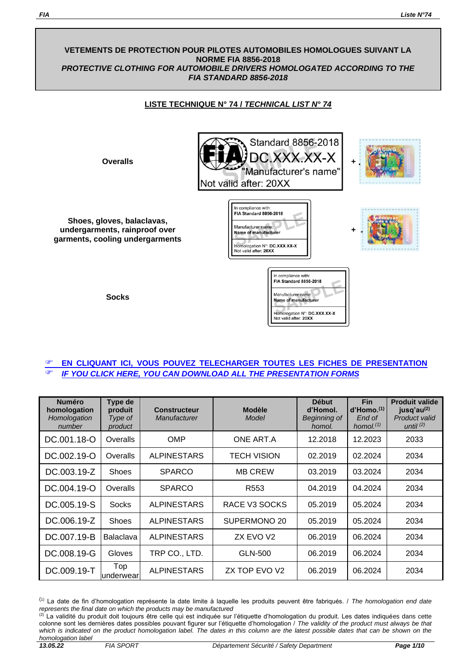### **VETEMENTS DE PROTECTION POUR PILOTES AUTOMOBILES HOMOLOGUES SUIVANT LA NORME FIA 8856-2018** *PROTECTIVE CLOTHING FOR AUTOMOBILE DRIVERS HOMOLOGATED ACCORDING TO THE FIA STANDARD 8856-2018*

# **LISTE TECHNIQUE N° 74 /** *TECHNICAL LIST N° 74*

**Shoes, gloves, balaclavas, undergarments, rainproof over garments, cooling undergarments**



**Socks**



## **EN CLIQUANT ICI, VOUS POUVEZ [TELECHARGER](https://www.fia.com/presentation-forms-protective-clothing-according-fia-standard-8856-2018) TOUTES LES FICHES DE [PRESENTATION](https://www.fia.com/presentation-forms-protective-clothing-according-fia-standard-8856-2018)** *IF YOU CLICK HERE, YOU CAN DOWNLOAD ALL THE [PRESENTATION FORMS](https://www.fia.com/presentation-forms-protective-clothing-according-fia-standard-8856-2018)*

| <b>Numéro</b><br>homologation<br>Homologation<br>number | Type de<br>produit<br>Type of<br>product | <b>Constructeur</b><br>Manufacturer | <b>Modèle</b><br>Model | <b>Début</b><br>d'Homol.<br>Beginning of<br>homol. | <b>Fin</b><br>$d'$ Homo. $(1)$<br>End of<br>homol. $(1)$ | <b>Produit valide</b><br>jusq'au <sup>(2)</sup><br>Product valid<br>until $(2)$ |
|---------------------------------------------------------|------------------------------------------|-------------------------------------|------------------------|----------------------------------------------------|----------------------------------------------------------|---------------------------------------------------------------------------------|
| DC.001.18-O                                             | Overalls                                 | <b>OMP</b>                          | ONE ART.A              | 12.2018                                            | 12.2023                                                  | 2033                                                                            |
| DC.002.19-O                                             | Overalls                                 | <b>ALPINESTARS</b>                  | <b>TECH VISION</b>     | 02.2019                                            | 02.2024                                                  | 2034                                                                            |
| DC.003.19-Z                                             | Shoes                                    | <b>SPARCO</b>                       | <b>MB CREW</b>         | 03.2019                                            | 03.2024                                                  | 2034                                                                            |
| DC.004.19-O                                             | Overalls                                 | <b>SPARCO</b>                       | R <sub>553</sub>       | 04.2019                                            | 04.2024                                                  | 2034                                                                            |
| DC.005.19-S                                             | Socks                                    | <b>ALPINESTARS</b>                  | RACE V3 SOCKS          | 05.2019                                            | 05.2024                                                  | 2034                                                                            |
| DC.006.19-Z                                             | <b>Shoes</b>                             | <b>ALPINESTARS</b>                  | SUPERMONO 20           | 05.2019                                            | 05.2024                                                  | 2034                                                                            |
| DC.007.19-B                                             | <b>Balaclava</b>                         | <b>ALPINESTARS</b>                  | ZX EVO V2              | 06.2019                                            | 06.2024                                                  | 2034                                                                            |
| DC.008.19-G                                             | <b>Gloves</b>                            | TRP CO., LTD.                       | GLN-500                | 06.2019                                            | 06.2024                                                  | 2034                                                                            |
| DC.009.19-T                                             | Top<br>underwearl                        | <b>ALPINESTARS</b>                  | ZX TOP EVO V2          | 06.2019                                            | 06.2024                                                  | 2034                                                                            |

(1) La date de fin d'homologation représente la date limite à laquelle les produits peuvent être fabriqués. / *The homologation end date represents the final date on which the products may be manufactured*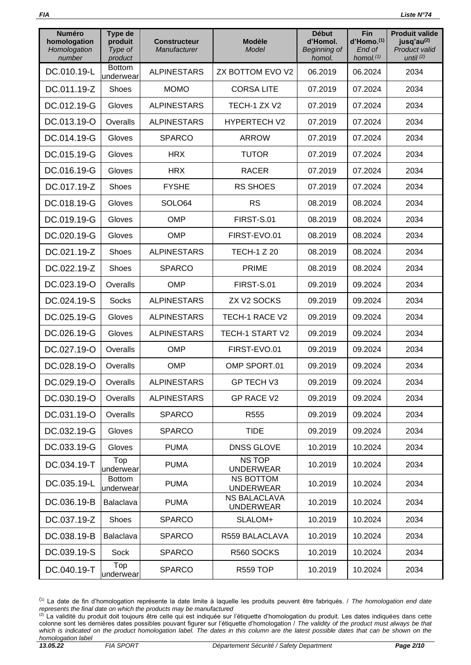| <b>Numéro</b><br>homologation<br>Homologation<br>number | Type de<br>produit<br>Type of<br>product | <b>Constructeur</b><br>Manufacturer | <b>Modèle</b><br>Model                  | <b>Début</b><br>d'Homol.<br>Beginning of<br>homol. | Fin<br>d'Homo. <sup>(1)</sup><br>End of<br>homol. $(1)$ | <b>Produit valide</b><br>jusq'au <sup>(2)</sup><br>Product valid<br>until $(2)$ |
|---------------------------------------------------------|------------------------------------------|-------------------------------------|-----------------------------------------|----------------------------------------------------|---------------------------------------------------------|---------------------------------------------------------------------------------|
| DC.010.19-L                                             | <b>Bottom</b><br>underwear               | <b>ALPINESTARS</b>                  | ZX BOTTOM EVO V2                        | 06.2019                                            | 06.2024                                                 | 2034                                                                            |
| DC.011.19-Z                                             | Shoes                                    | <b>MOMO</b>                         | <b>CORSA LITE</b>                       | 07.2019                                            | 07.2024                                                 | 2034                                                                            |
| DC.012.19-G                                             | Gloves                                   | <b>ALPINESTARS</b>                  | TECH-1 ZX V2                            | 07.2019                                            | 07.2024                                                 | 2034                                                                            |
| DC.013.19-O                                             | Overalls                                 | <b>ALPINESTARS</b>                  | <b>HYPERTECH V2</b>                     | 07.2019                                            | 07.2024                                                 | 2034                                                                            |
| DC.014.19-G                                             | Gloves                                   | <b>SPARCO</b>                       | <b>ARROW</b>                            | 07.2019                                            | 07.2024                                                 | 2034                                                                            |
| DC.015.19-G                                             | Gloves                                   | <b>HRX</b>                          | <b>TUTOR</b>                            | 07.2019                                            | 07.2024                                                 | 2034                                                                            |
| DC.016.19-G                                             | Gloves                                   | <b>HRX</b>                          | <b>RACER</b>                            | 07.2019                                            | 07.2024                                                 | 2034                                                                            |
| DC.017.19-Z                                             | Shoes                                    | <b>FYSHE</b>                        | <b>RS SHOES</b>                         | 07.2019                                            | 07.2024                                                 | 2034                                                                            |
| DC.018.19-G                                             | Gloves                                   | SOLO64                              | <b>RS</b>                               | 08.2019                                            | 08.2024                                                 | 2034                                                                            |
| DC.019.19-G                                             | Gloves                                   | <b>OMP</b>                          | FIRST-S.01                              | 08.2019                                            | 08.2024                                                 | 2034                                                                            |
| DC.020.19-G                                             | Gloves                                   | <b>OMP</b>                          | FIRST-EVO.01                            | 08.2019                                            | 08.2024                                                 | 2034                                                                            |
| DC.021.19-Z                                             | Shoes                                    | <b>ALPINESTARS</b>                  | <b>TECH-1 Z 20</b>                      | 08.2019                                            | 08.2024                                                 | 2034                                                                            |
| DC.022.19-Z                                             | <b>Shoes</b>                             | <b>SPARCO</b>                       | <b>PRIME</b>                            | 08.2019                                            | 08.2024                                                 | 2034                                                                            |
| DC.023.19-O                                             | Overalls                                 | <b>OMP</b>                          | FIRST-S.01                              | 09.2019                                            | 09.2024                                                 | 2034                                                                            |
| DC.024.19-S                                             | <b>Socks</b>                             | <b>ALPINESTARS</b>                  | ZX V2 SOCKS                             | 09.2019                                            | 09.2024                                                 | 2034                                                                            |
| DC.025.19-G                                             | Gloves                                   | <b>ALPINESTARS</b>                  | TECH-1 RACE V2                          | 09.2019                                            | 09.2024                                                 | 2034                                                                            |
| DC.026.19-G                                             | Gloves                                   | <b>ALPINESTARS</b>                  | TECH-1 START V2                         | 09.2019                                            | 09.2024                                                 | 2034                                                                            |
| DC.027.19-O                                             | Overalls                                 | <b>OMP</b>                          | FIRST-EVO.01                            | 09.2019                                            | 09.2024                                                 | 2034                                                                            |
| DC.028.19-O                                             | Overalls                                 | <b>OMP</b>                          | OMP SPORT.01                            | 09.2019                                            | 09.2024                                                 | 2034                                                                            |
| DC.029.19-O                                             | Overalls                                 | <b>ALPINESTARS</b>                  | GP TECH V3                              | 09.2019                                            | 09.2024                                                 | 2034                                                                            |
| DC.030.19-O                                             | Overalls                                 | <b>ALPINESTARS</b>                  | <b>GP RACE V2</b>                       | 09.2019                                            | 09.2024                                                 | 2034                                                                            |
| DC.031.19-O                                             | Overalls                                 | <b>SPARCO</b>                       | R <sub>555</sub>                        | 09.2019                                            | 09.2024                                                 | 2034                                                                            |
| DC.032.19-G                                             | Gloves                                   | <b>SPARCO</b>                       | <b>TIDE</b>                             | 09.2019                                            | 09.2024                                                 | 2034                                                                            |
| DC.033.19-G                                             | Gloves                                   | <b>PUMA</b>                         | <b>DNSS GLOVE</b>                       | 10.2019                                            | 10.2024                                                 | 2034                                                                            |
| DC.034.19-T                                             | Top<br>underwear                         | <b>PUMA</b>                         | <b>NSTOP</b><br><b>UNDERWEAR</b>        | 10.2019                                            | 10.2024                                                 | 2034                                                                            |
| DC.035.19-L                                             | <b>Bottom</b><br>underwear               | <b>PUMA</b>                         | <b>NS BOTTOM</b><br><b>UNDERWEAR</b>    | 10.2019                                            | 10.2024                                                 | 2034                                                                            |
| DC.036.19-B                                             | Balaclava                                | <b>PUMA</b>                         | <b>NS BALACLAVA</b><br><b>UNDERWEAR</b> | 10.2019                                            | 10.2024                                                 | 2034                                                                            |
| DC.037.19-Z                                             | Shoes                                    | <b>SPARCO</b>                       | SLALOM+                                 | 10.2019                                            | 10.2024                                                 | 2034                                                                            |
| DC.038.19-B                                             | Balaclava                                | <b>SPARCO</b>                       | R559 BALACLAVA                          | 10.2019                                            | 10.2024                                                 | 2034                                                                            |
| DC.039.19-S                                             | Sock                                     | <b>SPARCO</b>                       | R560 SOCKS                              | 10.2019                                            | 10.2024                                                 | 2034                                                                            |
| DC.040.19-T                                             | Top<br>underwear                         | <b>SPARCO</b>                       | <b>R559 TOP</b>                         | 10.2019                                            | 10.2024                                                 | 2034                                                                            |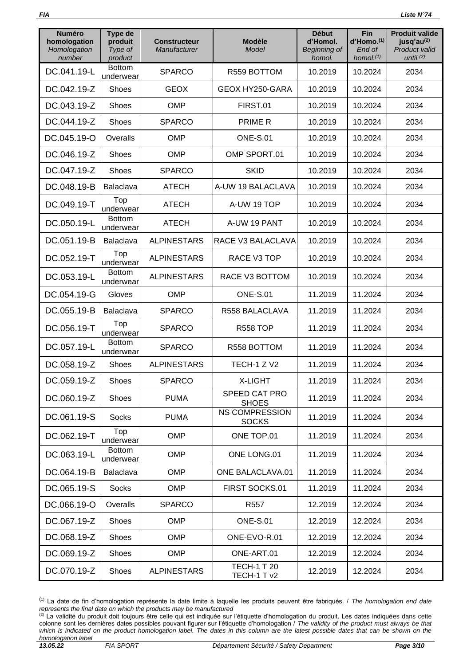| <b>Numéro</b><br>homologation<br>Homologation<br>number | Type de<br>produit<br>Type of<br>product | <b>Constructeur</b><br>Manufacturer | <b>Modèle</b><br>Model                | <b>Début</b><br>d'Homol.<br>Beginning of<br>homol. | <b>Fin</b><br>d'Homo. <sup>(1)</sup><br>End of<br>homol. $(1)$ | <b>Produit valide</b><br>jusq'au <sup>(2)</sup><br><b>Product valid</b><br>until $(2)$ |
|---------------------------------------------------------|------------------------------------------|-------------------------------------|---------------------------------------|----------------------------------------------------|----------------------------------------------------------------|----------------------------------------------------------------------------------------|
| DC.041.19-L                                             | <b>Bottom</b><br>underwear               | <b>SPARCO</b>                       | R559 BOTTOM                           | 10.2019                                            | 10.2024                                                        | 2034                                                                                   |
| DC.042.19-Z                                             | <b>Shoes</b>                             | <b>GEOX</b>                         | GEOX HY250-GARA                       | 10.2019                                            | 10.2024                                                        | 2034                                                                                   |
| DC.043.19-Z                                             | <b>Shoes</b>                             | <b>OMP</b>                          | FIRST.01                              | 10.2019                                            | 10.2024                                                        | 2034                                                                                   |
| DC.044.19-Z                                             | Shoes                                    | <b>SPARCO</b>                       | <b>PRIME R</b>                        | 10.2019                                            | 10.2024                                                        | 2034                                                                                   |
| DC.045.19-O                                             | Overalls                                 | <b>OMP</b>                          | <b>ONE-S.01</b>                       | 10.2019                                            | 10.2024                                                        | 2034                                                                                   |
| DC.046.19-Z                                             | Shoes                                    | <b>OMP</b>                          | OMP SPORT.01                          | 10.2019                                            | 10.2024                                                        | 2034                                                                                   |
| DC.047.19-Z                                             | <b>Shoes</b>                             | <b>SPARCO</b>                       | <b>SKID</b>                           | 10.2019                                            | 10.2024                                                        | 2034                                                                                   |
| DC.048.19-B                                             | Balaclava                                | <b>ATECH</b>                        | A-UW 19 BALACLAVA                     | 10.2019                                            | 10.2024                                                        | 2034                                                                                   |
| DC.049.19-T                                             | Top<br>underwear                         | <b>ATECH</b>                        | A-UW 19 TOP                           | 10.2019                                            | 10.2024                                                        | 2034                                                                                   |
| DC.050.19-L                                             | <b>Bottom</b><br>underwear               | <b>ATECH</b>                        | A-UW 19 PANT                          | 10.2019                                            | 10.2024                                                        | 2034                                                                                   |
| DC.051.19-B                                             | Balaclava                                | <b>ALPINESTARS</b>                  | RACE V3 BALACLAVA                     | 10.2019                                            | 10.2024                                                        | 2034                                                                                   |
| DC.052.19-T                                             | Top<br>underwear                         | <b>ALPINESTARS</b>                  | RACE V3 TOP                           | 10.2019                                            | 10.2024                                                        | 2034                                                                                   |
| DC.053.19-L                                             | <b>Bottom</b><br>underwear               | <b>ALPINESTARS</b>                  | RACE V3 BOTTOM                        | 10.2019                                            | 10.2024                                                        | 2034                                                                                   |
| DC.054.19-G                                             | Gloves                                   | <b>OMP</b>                          | <b>ONE-S.01</b>                       | 11.2019                                            | 11.2024                                                        | 2034                                                                                   |
| DC.055.19-B                                             | Balaclava                                | <b>SPARCO</b>                       | R558 BALACLAVA                        | 11.2019                                            | 11.2024                                                        | 2034                                                                                   |
| DC.056.19-T                                             | Top<br>underwear                         | <b>SPARCO</b>                       | <b>R558 TOP</b>                       | 11.2019                                            | 11.2024                                                        | 2034                                                                                   |
| DC.057.19-L                                             | <b>Bottom</b><br>underwear               | <b>SPARCO</b>                       | R558 BOTTOM                           | 11.2019                                            | 11.2024                                                        | 2034                                                                                   |
| DC.058.19-Z                                             | Shoes                                    | <b>ALPINESTARS</b>                  | TECH-1 Z V2                           | 11.2019                                            | 11.2024                                                        | 2034                                                                                   |
| DC.059.19-Z                                             | Shoes                                    | <b>SPARCO</b>                       | <b>X-LIGHT</b>                        | 11.2019                                            | 11.2024                                                        | 2034                                                                                   |
| DC.060.19-Z                                             | Shoes                                    | <b>PUMA</b>                         | SPEED CAT PRO<br><b>SHOES</b>         | 11.2019                                            | 11.2024                                                        | 2034                                                                                   |
| DC.061.19-S                                             | Socks                                    | <b>PUMA</b>                         | <b>NS COMPRESSION</b><br><b>SOCKS</b> | 11.2019                                            | 11.2024                                                        | 2034                                                                                   |
| DC.062.19-T                                             | Top<br>underwear                         | <b>OMP</b>                          | ONE TOP.01                            | 11.2019                                            | 11.2024                                                        | 2034                                                                                   |
| DC.063.19-L                                             | <b>Bottom</b><br>underwear               | <b>OMP</b>                          | ONE LONG.01                           | 11.2019                                            | 11.2024                                                        | 2034                                                                                   |
| DC.064.19-B                                             | Balaclava                                | <b>OMP</b>                          | ONE BALACLAVA.01                      | 11.2019                                            | 11.2024                                                        | 2034                                                                                   |
| DC.065.19-S                                             | <b>Socks</b>                             | <b>OMP</b>                          | FIRST SOCKS.01                        | 11.2019                                            | 11.2024                                                        | 2034                                                                                   |
| DC.066.19-O                                             | Overalls                                 | <b>SPARCO</b>                       | R <sub>557</sub>                      | 12.2019                                            | 12.2024                                                        | 2034                                                                                   |
| DC.067.19-Z                                             | Shoes                                    | <b>OMP</b>                          | <b>ONE-S.01</b>                       | 12.2019                                            | 12.2024                                                        | 2034                                                                                   |
| DC.068.19-Z                                             | Shoes                                    | <b>OMP</b>                          | ONE-EVO-R.01                          | 12.2019                                            | 12.2024                                                        | 2034                                                                                   |
| DC.069.19-Z                                             | <b>Shoes</b>                             | <b>OMP</b>                          | ONE-ART.01                            | 12.2019                                            | 12.2024                                                        | 2034                                                                                   |
| DC.070.19-Z                                             | Shoes                                    | <b>ALPINESTARS</b>                  | <b>TECH-1 T 20</b><br>TECH-1 T v2     | 12.2019                                            | 12.2024                                                        | 2034                                                                                   |

<sup>(</sup>1) La date de fin d'homologation représente la date limite à laquelle les produits peuvent être fabriqués. / *The homologation end date represents the final date on which the products may be manufactured*

 $^{(2)}$  La validité du produit doit toujours être celle qui est indiquée sur l'étiquette d'homologation du produit. Les dates indiquées dans cette colonne sont les dernières dates possibles pouvant figurer sur l'étiquette d'homologation / *The validity of the product must always be that*  which is indicated on the product homologation label. The dates in this column are the latest possible dates that can be shown on the *homologation label*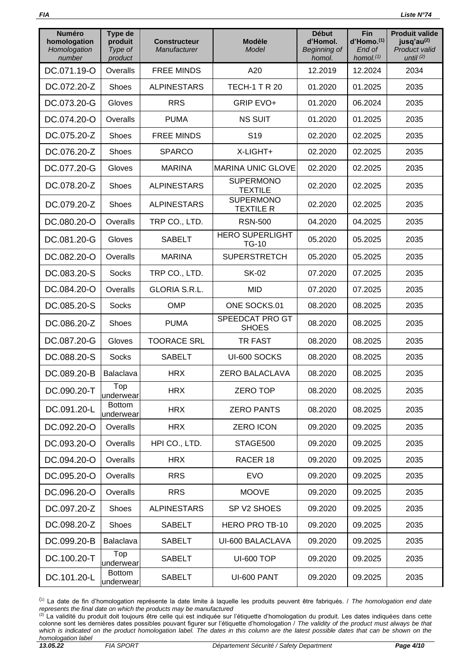| <b>Numéro</b><br>homologation<br>Homologation<br>number | <b>Type de</b><br>produit<br>Type of<br>product | <b>Constructeur</b><br>Manufacturer | <b>Modèle</b><br>Model                 | <b>Début</b><br>d'Homol.<br>Beginning of<br>homol. | Fin<br>d'Homo. <sup>(1)</sup><br>End of<br>homol. $(1)$ | <b>Produit valide</b><br>jusq'au <sup>(2)</sup><br>Product valid<br>until $(2)$ |
|---------------------------------------------------------|-------------------------------------------------|-------------------------------------|----------------------------------------|----------------------------------------------------|---------------------------------------------------------|---------------------------------------------------------------------------------|
| DC.071.19-O                                             | Overalls                                        | <b>FREE MINDS</b>                   | A20                                    | 12.2019                                            | 12.2024                                                 | 2034                                                                            |
| DC.072.20-Z                                             | Shoes                                           | <b>ALPINESTARS</b>                  | <b>TECH-1 T R 20</b>                   | 01.2020                                            | 01.2025                                                 | 2035                                                                            |
| DC.073.20-G                                             | Gloves                                          | <b>RRS</b>                          | <b>GRIP EVO+</b>                       | 01.2020                                            | 06.2024                                                 | 2035                                                                            |
| DC.074.20-O                                             | Overalls                                        | <b>PUMA</b>                         | <b>NS SUIT</b>                         | 01.2020                                            | 01.2025                                                 | 2035                                                                            |
| DC.075.20-Z                                             | <b>Shoes</b>                                    | <b>FREE MINDS</b>                   | S <sub>19</sub>                        | 02.2020                                            | 02.2025                                                 | 2035                                                                            |
| DC.076.20-Z                                             | <b>Shoes</b>                                    | <b>SPARCO</b>                       | X-LIGHT+                               | 02.2020                                            | 02.2025                                                 | 2035                                                                            |
| DC.077.20-G                                             | Gloves                                          | <b>MARINA</b>                       | <b>MARINA UNIC GLOVE</b>               | 02.2020                                            | 02.2025                                                 | 2035                                                                            |
| DC.078.20-Z                                             | Shoes                                           | <b>ALPINESTARS</b>                  | <b>SUPERMONO</b><br><b>TEXTILE</b>     | 02.2020                                            | 02.2025                                                 | 2035                                                                            |
| DC.079.20-Z                                             | <b>Shoes</b>                                    | <b>ALPINESTARS</b>                  | <b>SUPERMONO</b><br><b>TEXTILE R</b>   | 02.2020                                            | 02.2025                                                 | 2035                                                                            |
| DC.080.20-O                                             | Overalls                                        | TRP CO., LTD.                       | <b>RSN-500</b>                         | 04.2020                                            | 04.2025                                                 | 2035                                                                            |
| DC.081.20-G                                             | Gloves                                          | <b>SABELT</b>                       | <b>HERO SUPERLIGHT</b><br><b>TG-10</b> | 05.2020                                            | 05.2025                                                 | 2035                                                                            |
| DC.082.20-O                                             | Overalls                                        | <b>MARINA</b>                       | <b>SUPERSTRETCH</b>                    | 05.2020                                            | 05.2025                                                 | 2035                                                                            |
| DC.083.20-S                                             | <b>Socks</b>                                    | TRP CO., LTD.                       | <b>SK-02</b>                           | 07.2020                                            | 07.2025                                                 | 2035                                                                            |
| DC.084.20-O                                             | Overalls                                        | <b>GLORIA S.R.L.</b>                | <b>MID</b>                             | 07.2020                                            | 07.2025                                                 | 2035                                                                            |
| DC.085.20-S                                             | <b>Socks</b>                                    | <b>OMP</b>                          | ONE SOCKS.01                           | 08.2020                                            | 08.2025                                                 | 2035                                                                            |
| DC.086.20-Z                                             | Shoes                                           | <b>PUMA</b>                         | SPEEDCAT PRO GT<br><b>SHOES</b>        | 08.2020                                            | 08.2025                                                 | 2035                                                                            |
| DC.087.20-G                                             | Gloves                                          | <b>TOORACE SRL</b>                  | TR FAST                                | 08.2020                                            | 08.2025                                                 | 2035                                                                            |
| DC.088.20-S                                             | <b>Socks</b>                                    | <b>SABELT</b>                       | UI-600 SOCKS                           | 08.2020                                            | 08.2025                                                 | 2035                                                                            |
| DC.089.20-B                                             | Balaclava                                       | <b>HRX</b>                          | <b>ZERO BALACLAVA</b>                  | 08.2020                                            | 08.2025                                                 | 2035                                                                            |
| DC.090.20-T                                             | Top<br>underwear                                | <b>HRX</b>                          | <b>ZERO TOP</b>                        | 08.2020                                            | 08.2025                                                 | 2035                                                                            |
| DC.091.20-L                                             | <b>Bottom</b><br>underwear                      | <b>HRX</b>                          | <b>ZERO PANTS</b>                      | 08.2020                                            | 08.2025                                                 | 2035                                                                            |
| DC.092.20-O                                             | Overalls                                        | <b>HRX</b>                          | <b>ZERO ICON</b>                       | 09.2020                                            | 09.2025                                                 | 2035                                                                            |
| DC.093.20-O                                             | Overalls                                        | HPI CO., LTD.                       | STAGE500                               | 09.2020                                            | 09.2025                                                 | 2035                                                                            |
| DC.094.20-O                                             | Overalls                                        | <b>HRX</b>                          | RACER 18                               | 09.2020                                            | 09.2025                                                 | 2035                                                                            |
| DC.095.20-O                                             | Overalls                                        | <b>RRS</b>                          | <b>EVO</b>                             | 09.2020                                            | 09.2025                                                 | 2035                                                                            |
| DC.096.20-O                                             | Overalls                                        | <b>RRS</b>                          | <b>MOOVE</b>                           | 09.2020                                            | 09.2025                                                 | 2035                                                                            |
| DC.097.20-Z                                             | Shoes                                           | <b>ALPINESTARS</b>                  | SP V2 SHOES                            | 09.2020                                            | 09.2025                                                 | 2035                                                                            |
| DC.098.20-Z                                             | <b>Shoes</b>                                    | SABELT                              | HERO PRO TB-10                         | 09.2020                                            | 09.2025                                                 | 2035                                                                            |
| DC.099.20-B                                             | Balaclava                                       | <b>SABELT</b>                       | UI-600 BALACLAVA                       | 09.2020                                            | 09.2025                                                 | 2035                                                                            |
| DC.100.20-T                                             | Top<br>underwear                                | <b>SABELT</b>                       | <b>UI-600 TOP</b>                      | 09.2020                                            | 09.2025                                                 | 2035                                                                            |
| DC.101.20-L                                             | <b>Bottom</b><br>underwear                      | <b>SABELT</b>                       | UI-600 PANT                            | 09.2020                                            | 09.2025                                                 | 2035                                                                            |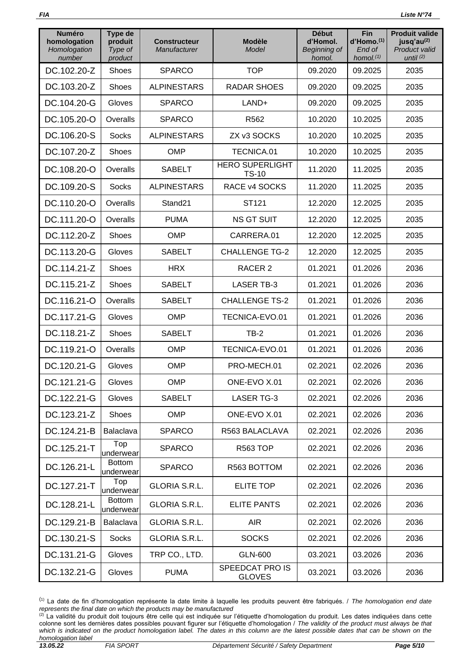| <b>Numéro</b><br>homologation<br>Homologation<br>number | Type de<br>produit<br>Type of<br>product | <b>Constructeur</b><br>Manufacturer | <b>Modèle</b><br>Model                 | <b>Début</b><br>d'Homol.<br>Beginning of<br>homol. | Fin<br>$d'$ Homo. $(1)$<br>End of<br>homol. $(1)$ | <b>Produit valide</b><br>jusq'au <sup>(2)</sup><br><b>Product valid</b><br>until $(2)$ |
|---------------------------------------------------------|------------------------------------------|-------------------------------------|----------------------------------------|----------------------------------------------------|---------------------------------------------------|----------------------------------------------------------------------------------------|
| DC.102.20-Z                                             | Shoes                                    | <b>SPARCO</b>                       | <b>TOP</b>                             | 09.2020                                            | 09.2025                                           | 2035                                                                                   |
| DC.103.20-Z                                             | Shoes                                    | <b>ALPINESTARS</b>                  | <b>RADAR SHOES</b>                     | 09.2020                                            | 09.2025                                           | 2035                                                                                   |
| DC.104.20-G                                             | Gloves                                   | <b>SPARCO</b>                       | LAND+                                  | 09.2020                                            | 09.2025                                           | 2035                                                                                   |
| DC.105.20-O                                             | Overalls                                 | <b>SPARCO</b>                       | R562                                   | 10.2020                                            | 10.2025                                           | 2035                                                                                   |
| DC.106.20-S                                             | <b>Socks</b>                             | <b>ALPINESTARS</b>                  | ZX v3 SOCKS                            | 10.2020                                            | 10.2025                                           | 2035                                                                                   |
| DC.107.20-Z                                             | <b>Shoes</b>                             | <b>OMP</b>                          | TECNICA.01                             | 10.2020                                            | 10.2025                                           | 2035                                                                                   |
| DC.108.20-O                                             | Overalls                                 | <b>SABELT</b>                       | <b>HERO SUPERLIGHT</b><br><b>TS-10</b> | 11.2020                                            | 11.2025                                           | 2035                                                                                   |
| DC.109.20-S                                             | <b>Socks</b>                             | <b>ALPINESTARS</b>                  | RACE v4 SOCKS                          | 11.2020                                            | 11.2025                                           | 2035                                                                                   |
| DC.110.20-O                                             | Overalls                                 | Stand21                             | ST121                                  | 12.2020                                            | 12.2025                                           | 2035                                                                                   |
| DC.111.20-O                                             | Overalls                                 | <b>PUMA</b>                         | <b>NS GT SUIT</b>                      | 12.2020                                            | 12.2025                                           | 2035                                                                                   |
| DC.112.20-Z                                             | <b>Shoes</b>                             | <b>OMP</b>                          | CARRERA.01                             | 12.2020                                            | 12.2025                                           | 2035                                                                                   |
| DC.113.20-G                                             | Gloves                                   | <b>SABELT</b>                       | <b>CHALLENGE TG-2</b>                  | 12.2020                                            | 12.2025                                           | 2035                                                                                   |
| DC.114.21-Z                                             | Shoes                                    | <b>HRX</b>                          | RACER 2                                | 01.2021                                            | 01.2026                                           | 2036                                                                                   |
| DC.115.21-Z                                             | Shoes                                    | <b>SABELT</b>                       | <b>LASER TB-3</b>                      | 01.2021                                            | 01.2026                                           | 2036                                                                                   |
| DC.116.21-O                                             | Overalls                                 | <b>SABELT</b>                       | <b>CHALLENGE TS-2</b>                  | 01.2021                                            | 01.2026                                           | 2036                                                                                   |
| DC.117.21-G                                             | Gloves                                   | <b>OMP</b>                          | TECNICA-EVO.01                         | 01.2021                                            | 01.2026                                           | 2036                                                                                   |
| DC.118.21-Z                                             | <b>Shoes</b>                             | <b>SABELT</b>                       | $TB-2$                                 | 01.2021                                            | 01.2026                                           | 2036                                                                                   |
| DC.119.21-O                                             | Overalls                                 | <b>OMP</b>                          | TECNICA-EVO.01                         | 01.2021                                            | 01.2026                                           | 2036                                                                                   |
| DC.120.21-G                                             | Gloves                                   | <b>OMP</b>                          | PRO-MECH.01                            | 02.2021                                            | 02.2026                                           | 2036                                                                                   |
| DC.121.21-G                                             | Gloves                                   | OMP                                 | ONE-EVO X.01                           | 02.2021                                            | 02.2026                                           | 2036                                                                                   |
| DC.122.21-G                                             | Gloves                                   | <b>SABELT</b>                       | <b>LASER TG-3</b>                      | 02.2021                                            | 02.2026                                           | 2036                                                                                   |
| DC.123.21-Z                                             | Shoes                                    | <b>OMP</b>                          | ONE-EVO X.01                           | 02.2021                                            | 02.2026                                           | 2036                                                                                   |
| DC.124.21-B                                             | Balaclava                                | <b>SPARCO</b>                       | R563 BALACLAVA                         | 02.2021                                            | 02.2026                                           | 2036                                                                                   |
| DC.125.21-T                                             | Top<br>underwear                         | <b>SPARCO</b>                       | <b>R563 TOP</b>                        | 02.2021                                            | 02.2026                                           | 2036                                                                                   |
| DC.126.21-L                                             | <b>Bottom</b><br>underwear               | <b>SPARCO</b>                       | R563 BOTTOM                            | 02.2021                                            | 02.2026                                           | 2036                                                                                   |
| DC.127.21-T                                             | Top<br>underwear                         | GLORIA S.R.L.                       | <b>ELITE TOP</b>                       | 02.2021                                            | 02.2026                                           | 2036                                                                                   |
| DC.128.21-L                                             | <b>Bottom</b><br>underwear               | GLORIA S.R.L.                       | <b>ELITE PANTS</b>                     | 02.2021                                            | 02.2026                                           | 2036                                                                                   |
| DC.129.21-B                                             | Balaclava                                | <b>GLORIA S.R.L.</b>                | <b>AIR</b>                             | 02.2021                                            | 02.2026                                           | 2036                                                                                   |
| DC.130.21-S                                             | <b>Socks</b>                             | <b>GLORIA S.R.L.</b>                | <b>SOCKS</b>                           | 02.2021                                            | 02.2026                                           | 2036                                                                                   |
| DC.131.21-G                                             | Gloves                                   | TRP CO., LTD.                       | <b>GLN-600</b>                         | 03.2021                                            | 03.2026                                           | 2036                                                                                   |
| DC.132.21-G                                             | Gloves                                   | <b>PUMA</b>                         | SPEEDCAT PRO IS<br><b>GLOVES</b>       | 03.2021                                            | 03.2026                                           | 2036                                                                                   |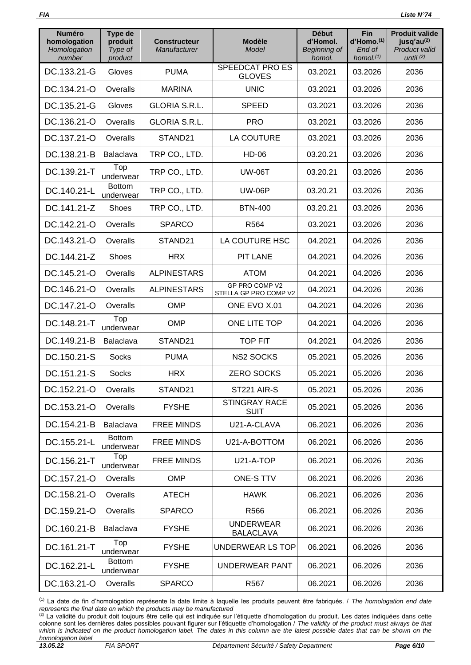| <b>Numéro</b><br>homologation<br>Homologation<br>number | Type de<br>produit<br>Type of<br>product | <b>Constructeur</b><br>Manufacturer | <b>Modèle</b><br>Model                  | <b>Début</b><br>d'Homol.<br>Beginning of<br>homol. | Fin<br>d'Homo. <sup>(1)</sup><br>End of<br>homol. $(1)$ | <b>Produit valide</b><br>jusq'au <sup>(2)</sup><br>Product valid<br>until $(2)$ |
|---------------------------------------------------------|------------------------------------------|-------------------------------------|-----------------------------------------|----------------------------------------------------|---------------------------------------------------------|---------------------------------------------------------------------------------|
| DC.133.21-G                                             | Gloves                                   | <b>PUMA</b>                         | <b>SPEEDCAT PRO ES</b><br><b>GLOVES</b> | 03.2021                                            | 03.2026                                                 | 2036                                                                            |
| DC.134.21-O                                             | Overalls                                 | <b>MARINA</b>                       | <b>UNIC</b>                             | 03.2021                                            | 03.2026                                                 | 2036                                                                            |
| DC.135.21-G                                             | Gloves                                   | <b>GLORIA S.R.L.</b>                | <b>SPEED</b>                            | 03.2021                                            | 03.2026                                                 | 2036                                                                            |
| DC.136.21-O                                             | Overalls                                 | <b>GLORIA S.R.L.</b>                | <b>PRO</b>                              | 03.2021                                            | 03.2026                                                 | 2036                                                                            |
| DC.137.21-O                                             | Overalls                                 | STAND21                             | <b>LA COUTURE</b>                       | 03.2021                                            | 03.2026                                                 | 2036                                                                            |
| DC.138.21-B                                             | Balaclava                                | TRP CO., LTD.                       | <b>HD-06</b>                            | 03.20.21                                           | 03.2026                                                 | 2036                                                                            |
| DC.139.21-T                                             | Top<br>underwear                         | TRP CO., LTD.                       | <b>UW-06T</b>                           | 03.20.21                                           | 03.2026                                                 | 2036                                                                            |
| DC.140.21-L                                             | <b>Bottom</b><br>underwear               | TRP CO., LTD.                       | <b>UW-06P</b>                           | 03.20.21                                           | 03.2026                                                 | 2036                                                                            |
| DC.141.21-Z                                             | <b>Shoes</b>                             | TRP CO., LTD.                       | <b>BTN-400</b>                          | 03.20.21                                           | 03.2026                                                 | 2036                                                                            |
| DC.142.21-O                                             | Overalls                                 | <b>SPARCO</b>                       | R564                                    | 03.2021                                            | 03.2026                                                 | 2036                                                                            |
| DC.143.21-O                                             | Overalls                                 | STAND21                             | LA COUTURE HSC                          | 04.2021                                            | 04.2026                                                 | 2036                                                                            |
| DC.144.21-Z                                             | Shoes                                    | <b>HRX</b>                          | <b>PIT LANE</b>                         | 04.2021                                            | 04.2026                                                 | 2036                                                                            |
| DC.145.21-O                                             | Overalls                                 | <b>ALPINESTARS</b>                  | <b>ATOM</b>                             | 04.2021                                            | 04.2026                                                 | 2036                                                                            |
| DC.146.21-O                                             | Overalls                                 | <b>ALPINESTARS</b>                  | GP PRO COMP V2<br>STELLA GP PRO COMP V2 | 04.2021                                            | 04.2026                                                 | 2036                                                                            |
| DC.147.21-O                                             | Overalls                                 | <b>OMP</b>                          | ONE EVO X.01                            | 04.2021                                            | 04.2026                                                 | 2036                                                                            |
| DC.148.21-T                                             | Top<br>underwear                         | <b>OMP</b>                          | ONE LITE TOP                            | 04.2021                                            | 04.2026                                                 | 2036                                                                            |
| DC.149.21-B                                             | Balaclava                                | STAND21                             | <b>TOP FIT</b>                          | 04.2021                                            | 04.2026                                                 | 2036                                                                            |
| DC.150.21-S                                             | <b>Socks</b>                             | <b>PUMA</b>                         | <b>NS2 SOCKS</b>                        | 05.2021                                            | 05.2026                                                 | 2036                                                                            |
| DC.151.21-S                                             | <b>Socks</b>                             | <b>HRX</b>                          | <b>ZERO SOCKS</b>                       | 05.2021                                            | 05.2026                                                 | 2036                                                                            |
| DC.152.21-O                                             | Overalls                                 | STAND21                             | ST221 AIR-S                             | 05.2021                                            | 05.2026                                                 | 2036                                                                            |
| DC.153.21-O                                             | Overalls                                 | <b>FYSHE</b>                        | <b>STINGRAY RACE</b><br><b>SUIT</b>     | 05.2021                                            | 05.2026                                                 | 2036                                                                            |
| DC.154.21-B                                             | Balaclava                                | <b>FREE MINDS</b>                   | U21-A-CLAVA                             | 06.2021                                            | 06.2026                                                 | 2036                                                                            |
| DC.155.21-L                                             | <b>Bottom</b><br>underwear               | <b>FREE MINDS</b>                   | U21-A-BOTTOM                            | 06.2021                                            | 06.2026                                                 | 2036                                                                            |
| DC.156.21-T                                             | Top<br>underwear                         | <b>FREE MINDS</b>                   | U21-A-TOP                               | 06.2021                                            | 06.2026                                                 | 2036                                                                            |
| DC.157.21-O                                             | Overalls                                 | <b>OMP</b>                          | ONE-S TTV                               | 06.2021                                            | 06.2026                                                 | 2036                                                                            |
| DC.158.21-O                                             | Overalls                                 | <b>ATECH</b>                        | <b>HAWK</b>                             | 06.2021                                            | 06.2026                                                 | 2036                                                                            |
| DC.159.21-O                                             | Overalls                                 | <b>SPARCO</b>                       | R566                                    | 06.2021                                            | 06.2026                                                 | 2036                                                                            |
| DC.160.21-B                                             | Balaclava                                | <b>FYSHE</b>                        | <b>UNDERWEAR</b><br><b>BALACLAVA</b>    | 06.2021                                            | 06.2026                                                 | 2036                                                                            |
| DC.161.21-T                                             | Top<br>underwear                         | <b>FYSHE</b>                        | UNDERWEAR LS TOP                        | 06.2021                                            | 06.2026                                                 | 2036                                                                            |
| DC.162.21-L                                             | <b>Bottom</b><br>underwear               | <b>FYSHE</b>                        | UNDERWEAR PANT                          | 06.2021                                            | 06.2026                                                 | 2036                                                                            |
| DC.163.21-O                                             | Overalls                                 | <b>SPARCO</b>                       | R567                                    | 06.2021                                            | 06.2026                                                 | 2036                                                                            |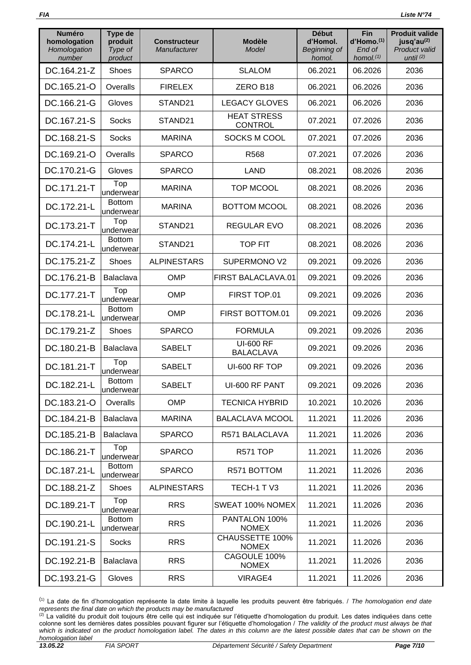| <b>Numéro</b><br>homologation<br>Homologation<br>number | Type de<br>produit<br>Type of<br>product | <b>Constructeur</b><br>Manufacturer | <b>Modèle</b><br>Model               | <b>Début</b><br>d'Homol.<br>Beginning of<br>homol. | Fin<br>d'Homo.(1)<br>End of<br>homol. $(1)$ | <b>Produit valide</b><br>jusq'au <sup>(2)</sup><br>Product valid<br>until $(2)$ |
|---------------------------------------------------------|------------------------------------------|-------------------------------------|--------------------------------------|----------------------------------------------------|---------------------------------------------|---------------------------------------------------------------------------------|
| DC.164.21-Z                                             | <b>Shoes</b>                             | <b>SPARCO</b>                       | <b>SLALOM</b>                        | 06.2021                                            | 06.2026                                     | 2036                                                                            |
| DC.165.21-O                                             | Overalls                                 | <b>FIRELEX</b>                      | ZERO B18                             | 06.2021                                            | 06.2026                                     | 2036                                                                            |
| DC.166.21-G                                             | Gloves                                   | STAND21                             | <b>LEGACY GLOVES</b>                 | 06.2021                                            | 06.2026                                     | 2036                                                                            |
| DC.167.21-S                                             | <b>Socks</b>                             | STAND21                             | <b>HEAT STRESS</b><br><b>CONTROL</b> | 07.2021                                            | 07.2026                                     | 2036                                                                            |
| DC.168.21-S                                             | <b>Socks</b>                             | <b>MARINA</b>                       | SOCKS M COOL                         | 07.2021                                            | 07.2026                                     | 2036                                                                            |
| DC.169.21-O                                             | Overalls                                 | <b>SPARCO</b>                       | R <sub>568</sub>                     | 07.2021                                            | 07.2026                                     | 2036                                                                            |
| DC.170.21-G                                             | Gloves                                   | <b>SPARCO</b>                       | <b>LAND</b>                          | 08.2021                                            | 08.2026                                     | 2036                                                                            |
| DC.171.21-T                                             | Top<br>underwear                         | <b>MARINA</b>                       | <b>TOP MCOOL</b>                     | 08.2021                                            | 08.2026                                     | 2036                                                                            |
| DC.172.21-L                                             | <b>Bottom</b><br>underwear               | <b>MARINA</b>                       | <b>BOTTOM MCOOL</b>                  | 08.2021                                            | 08.2026                                     | 2036                                                                            |
| DC.173.21-T                                             | Top<br>underwear                         | STAND21                             | <b>REGULAR EVO</b>                   | 08.2021                                            | 08.2026                                     | 2036                                                                            |
| DC.174.21-L                                             | <b>Bottom</b><br>underwear               | STAND21                             | <b>TOP FIT</b>                       | 08.2021                                            | 08.2026                                     | 2036                                                                            |
| DC.175.21-Z                                             | Shoes                                    | <b>ALPINESTARS</b>                  | SUPERMONO V2                         | 09.2021                                            | 09.2026                                     | 2036                                                                            |
| DC.176.21-B                                             | Balaclava                                | <b>OMP</b>                          | FIRST BALACLAVA.01                   | 09.2021                                            | 09.2026                                     | 2036                                                                            |
| DC.177.21-T                                             | Top<br>underwear                         | <b>OMP</b>                          | FIRST TOP.01                         | 09.2021                                            | 09.2026                                     | 2036                                                                            |
| DC.178.21-L                                             | <b>Bottom</b><br>underwear               | <b>OMP</b>                          | FIRST BOTTOM.01                      | 09.2021                                            | 09.2026                                     | 2036                                                                            |
| DC.179.21-Z                                             | <b>Shoes</b>                             | <b>SPARCO</b>                       | <b>FORMULA</b>                       | 09.2021                                            | 09.2026                                     | 2036                                                                            |
| DC.180.21-B                                             | Balaclava                                | <b>SABELT</b>                       | <b>UI-600 RF</b><br><b>BALACLAVA</b> | 09.2021                                            | 09.2026                                     | 2036                                                                            |
| DC.181.21-T                                             | Top<br>underwear                         | <b>SABELT</b>                       | UI-600 RF TOP                        | 09.2021                                            | 09.2026                                     | 2036                                                                            |
| DC.182.21-L                                             | <b>Bottom</b><br>underwear               | <b>SABELT</b>                       | UI-600 RF PANT                       | 09.2021                                            | 09.2026                                     | 2036                                                                            |
| DC.183.21-O                                             | Overalls                                 | <b>OMP</b>                          | <b>TECNICA HYBRID</b>                | 10.2021                                            | 10.2026                                     | 2036                                                                            |
| DC.184.21-B                                             | Balaclava                                | <b>MARINA</b>                       | <b>BALACLAVA MCOOL</b>               | 11.2021                                            | 11.2026                                     | 2036                                                                            |
| DC.185.21-B                                             | Balaclava                                | <b>SPARCO</b>                       | R571 BALACLAVA                       | 11.2021                                            | 11.2026                                     | 2036                                                                            |
| DC.186.21-T                                             | Top<br>underwear                         | <b>SPARCO</b>                       | R571 TOP                             | 11.2021                                            | 11.2026                                     | 2036                                                                            |
| DC.187.21-L                                             | <b>Bottom</b><br>underwear               | <b>SPARCO</b>                       | R571 BOTTOM                          | 11.2021                                            | 11.2026                                     | 2036                                                                            |
| DC.188.21-Z                                             | Shoes                                    | <b>ALPINESTARS</b>                  | TECH-1 TV3                           | 11.2021                                            | 11.2026                                     | 2036                                                                            |
| DC.189.21-T                                             | Top<br>underwear                         | <b>RRS</b>                          | SWEAT 100% NOMEX                     | 11.2021                                            | 11.2026                                     | 2036                                                                            |
| DC.190.21-L                                             | <b>Bottom</b><br>underwear               | <b>RRS</b>                          | PANTALON 100%<br><b>NOMEX</b>        | 11.2021                                            | 11.2026                                     | 2036                                                                            |
| DC.191.21-S                                             | <b>Socks</b>                             | <b>RRS</b>                          | CHAUSSETTE 100%<br><b>NOMEX</b>      | 11.2021                                            | 11.2026                                     | 2036                                                                            |
| DC.192.21-B                                             | <b>Balaclava</b>                         | <b>RRS</b>                          | CAGOULE 100%<br><b>NOMEX</b>         | 11.2021                                            | 11.2026                                     | 2036                                                                            |
| DC.193.21-G                                             | Gloves                                   | <b>RRS</b>                          | VIRAGE4                              | 11.2021                                            | 11.2026                                     | 2036                                                                            |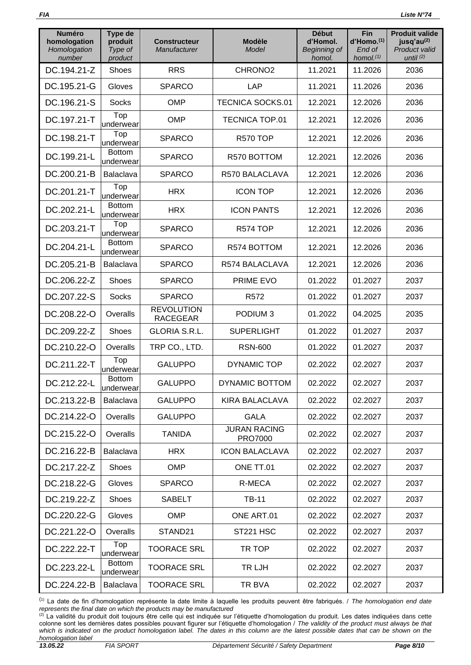| <b>Numéro</b><br>homologation<br>Homologation<br>number | Type de<br>produit<br>Type of<br>product | <b>Constructeur</b><br>Manufacturer  | <b>Modèle</b><br>Model         | <b>Début</b><br>d'Homol.<br>Beginning of<br>homol. | Fin<br>d'Homo. <sup>(1)</sup><br>End of<br>homol. $(1)$ | <b>Produit valide</b><br>jusq'au <sup>(2)</sup><br><b>Product valid</b><br>until $(2)$ |
|---------------------------------------------------------|------------------------------------------|--------------------------------------|--------------------------------|----------------------------------------------------|---------------------------------------------------------|----------------------------------------------------------------------------------------|
| DC.194.21-Z                                             | Shoes                                    | <b>RRS</b>                           | CHRONO <sub>2</sub>            | 11.2021                                            | 11.2026                                                 | 2036                                                                                   |
| DC.195.21-G                                             | Gloves                                   | <b>SPARCO</b>                        | LAP                            | 11.2021                                            | 11.2026                                                 | 2036                                                                                   |
| DC.196.21-S                                             | <b>Socks</b>                             | <b>OMP</b>                           | <b>TECNICA SOCKS.01</b>        | 12.2021                                            | 12.2026                                                 | 2036                                                                                   |
| DC.197.21-T                                             | Top<br>underwear                         | <b>OMP</b>                           | <b>TECNICA TOP.01</b>          | 12.2021                                            | 12.2026                                                 | 2036                                                                                   |
| DC.198.21-T                                             | Top<br>underwear                         | <b>SPARCO</b>                        | <b>R570 TOP</b>                | 12.2021                                            | 12.2026                                                 | 2036                                                                                   |
| DC.199.21-L                                             | <b>Bottom</b><br>underwear               | <b>SPARCO</b>                        | R570 BOTTOM                    | 12.2021                                            | 12.2026                                                 | 2036                                                                                   |
| DC.200.21-B                                             | Balaclava                                | <b>SPARCO</b>                        | R570 BALACLAVA                 | 12.2021                                            | 12.2026                                                 | 2036                                                                                   |
| DC.201.21-T                                             | Top<br>underwear                         | <b>HRX</b>                           | <b>ICON TOP</b>                | 12.2021                                            | 12.2026                                                 | 2036                                                                                   |
| DC.202.21-L                                             | <b>Bottom</b><br>underwear               | <b>HRX</b>                           | <b>ICON PANTS</b>              | 12.2021                                            | 12.2026                                                 | 2036                                                                                   |
| DC.203.21-T                                             | Top<br>underwear                         | <b>SPARCO</b>                        | <b>R574 TOP</b>                | 12.2021                                            | 12.2026                                                 | 2036                                                                                   |
| DC.204.21-L                                             | <b>Bottom</b><br>underwear               | <b>SPARCO</b>                        | R574 BOTTOM                    | 12.2021                                            | 12.2026                                                 | 2036                                                                                   |
| DC.205.21-B                                             | Balaclava                                | <b>SPARCO</b>                        | R574 BALACLAVA                 | 12.2021                                            | 12.2026                                                 | 2036                                                                                   |
| DC.206.22-Z                                             | Shoes                                    | <b>SPARCO</b>                        | PRIME EVO                      | 01.2022                                            | 01.2027                                                 | 2037                                                                                   |
| DC.207.22-S                                             | <b>Socks</b>                             | <b>SPARCO</b>                        | R <sub>572</sub>               | 01.2022                                            | 01.2027                                                 | 2037                                                                                   |
| DC.208.22-O                                             | Overalls                                 | <b>REVOLUTION</b><br><b>RACEGEAR</b> | PODIUM <sub>3</sub>            | 01.2022                                            | 04.2025                                                 | 2035                                                                                   |
| DC.209.22-Z                                             | <b>Shoes</b>                             | <b>GLORIA S.R.L.</b>                 | <b>SUPERLIGHT</b>              | 01.2022                                            | 01.2027                                                 | 2037                                                                                   |
| DC.210.22-O                                             | Overalls                                 | TRP CO., LTD.                        | <b>RSN-600</b>                 | 01.2022                                            | 01.2027                                                 | 2037                                                                                   |
| DC.211.22-T                                             | Top<br>underwear                         | <b>GALUPPO</b>                       | <b>DYNAMIC TOP</b>             | 02.2022                                            | 02.2027                                                 | 2037                                                                                   |
| DC.212.22-L                                             | <b>Bottom</b><br>underwear               | <b>GALUPPO</b>                       | DYNAMIC BOTTOM                 | 02.2022                                            | 02.2027                                                 | 2037                                                                                   |
| DC.213.22-B                                             | Balaclava                                | <b>GALUPPO</b>                       | <b>KIRA BALACLAVA</b>          | 02.2022                                            | 02.2027                                                 | 2037                                                                                   |
| DC.214.22-O                                             | Overalls                                 | <b>GALUPPO</b>                       | <b>GALA</b>                    | 02.2022                                            | 02.2027                                                 | 2037                                                                                   |
| DC.215.22-O                                             | Overalls                                 | <b>TANIDA</b>                        | <b>JURAN RACING</b><br>PRO7000 | 02.2022                                            | 02.2027                                                 | 2037                                                                                   |
| DC.216.22-B                                             | Balaclava                                | <b>HRX</b>                           | <b>ICON BALACLAVA</b>          | 02.2022                                            | 02.2027                                                 | 2037                                                                                   |
| DC.217.22-Z                                             | <b>Shoes</b>                             | <b>OMP</b>                           | ONE TT.01                      | 02.2022                                            | 02.2027                                                 | 2037                                                                                   |
| DC.218.22-G                                             | Gloves                                   | <b>SPARCO</b>                        | R-MECA                         | 02.2022                                            | 02.2027                                                 | 2037                                                                                   |
| DC.219.22-Z                                             | <b>Shoes</b>                             | <b>SABELT</b>                        | <b>TB-11</b>                   | 02.2022                                            | 02.2027                                                 | 2037                                                                                   |
| DC.220.22-G                                             | Gloves                                   | <b>OMP</b>                           | ONE ART.01                     | 02.2022                                            | 02.2027                                                 | 2037                                                                                   |
| DC.221.22-O                                             | Overalls                                 | STAND21                              | ST221 HSC                      | 02.2022                                            | 02.2027                                                 | 2037                                                                                   |
| DC.222.22-T                                             | Top<br>underwear                         | <b>TOORACE SRL</b>                   | TR TOP                         | 02.2022                                            | 02.2027                                                 | 2037                                                                                   |
| DC.223.22-L                                             | <b>Bottom</b><br>underwear               | <b>TOORACE SRL</b>                   | TR LJH                         | 02.2022                                            | 02.2027                                                 | 2037                                                                                   |
| DC.224.22-B                                             | Balaclava                                | <b>TOORACE SRL</b>                   | TR BVA                         | 02.2022                                            | 02.2027                                                 | 2037                                                                                   |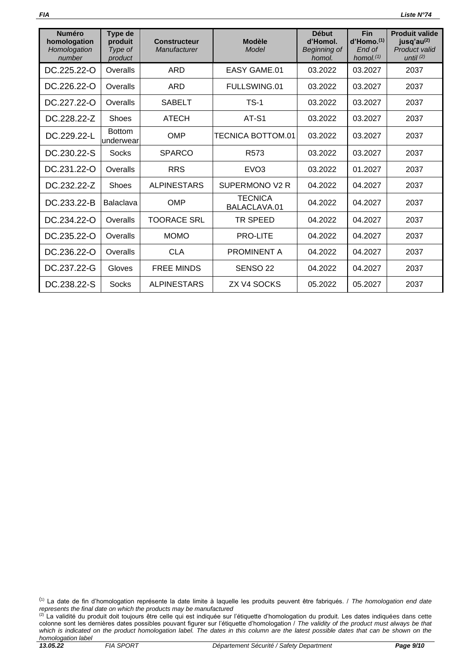| <b>Numéro</b><br>homologation<br>Homologation<br>number | Type de<br>produit<br>Type of<br>product | <b>Constructeur</b><br>Manufacturer | <b>Modèle</b><br>Model         | <b>Début</b><br>d'Homol.<br>Beginning of<br>homol. | <b>Fin</b><br>$d'$ Homo. $(1)$<br>End of<br>homol. $(1)$ | <b>Produit valide</b><br>jusq'au $(2)$<br><b>Product valid</b><br>until $(2)$ |
|---------------------------------------------------------|------------------------------------------|-------------------------------------|--------------------------------|----------------------------------------------------|----------------------------------------------------------|-------------------------------------------------------------------------------|
| DC.225.22-O                                             | Overalls                                 | ARD                                 | <b>EASY GAME.01</b>            | 03.2022                                            | 03.2027                                                  | 2037                                                                          |
| DC.226.22-O                                             | Overalls                                 | <b>ARD</b>                          | FULLSWING.01                   | 03.2022                                            | 03.2027                                                  | 2037                                                                          |
| DC.227.22-O                                             | Overalls                                 | <b>SABELT</b>                       | $TS-1$                         | 03.2022                                            | 03.2027                                                  | 2037                                                                          |
| DC.228.22-Z                                             | Shoes                                    | <b>ATECH</b>                        | AT-S1                          | 03.2022                                            | 03.2027                                                  | 2037                                                                          |
| DC.229.22-L                                             | <b>Bottom</b><br>underwear               | OMP                                 | TECNICA BOTTOM.01              | 03.2022                                            | 03.2027                                                  | 2037                                                                          |
| DC.230.22-S                                             | Socks                                    | <b>SPARCO</b>                       | R <sub>573</sub>               | 03.2022                                            | 03.2027                                                  | 2037                                                                          |
| DC.231.22-O                                             | Overalls                                 | <b>RRS</b>                          | EVO <sub>3</sub>               | 03.2022                                            | 01.2027                                                  | 2037                                                                          |
| DC.232.22-Z                                             | <b>Shoes</b>                             | <b>ALPINESTARS</b>                  | SUPERMONO V2 R                 | 04.2022                                            | 04.2027                                                  | 2037                                                                          |
| DC.233.22-B                                             | <b>Balaclava</b>                         | <b>OMP</b>                          | <b>TECNICA</b><br>BALACLAVA.01 | 04.2022                                            | 04.2027                                                  | 2037                                                                          |
| DC.234.22-O                                             | Overalls                                 | <b>TOORACE SRL</b>                  | <b>TR SPEED</b>                | 04.2022                                            | 04.2027                                                  | 2037                                                                          |
| DC.235.22-O                                             | Overalls                                 | <b>MOMO</b>                         | <b>PRO-LITE</b>                | 04.2022                                            | 04.2027                                                  | 2037                                                                          |
| DC.236.22-O                                             | Overalls                                 | <b>CLA</b>                          | <b>PROMINENT A</b>             | 04.2022                                            | 04.2027                                                  | 2037                                                                          |
| DC.237.22-G                                             | Gloves                                   | <b>FREE MINDS</b>                   | SENSO <sub>22</sub>            | 04.2022                                            | 04.2027                                                  | 2037                                                                          |
| DC.238.22-S                                             | Socks                                    | <b>ALPINESTARS</b>                  | ZX V4 SOCKS                    | 05.2022                                            | 05.2027                                                  | 2037                                                                          |

<sup>(</sup>1) La date de fin d'homologation représente la date limite à laquelle les produits peuvent être fabriqués. / *The homologation end date represents the final date on which the products may be manufactured*

 $^{(2)}$  La validité du produit doit toujours être celle qui est indiquée sur l'étiquette d'homologation du produit. Les dates indiquées dans cette colonne sont les dernières dates possibles pouvant figurer sur l'étiquette d'homologation / *The validity of the product must always be that*  which is indicated on the product homologation label. The dates in this column are the latest possible dates that can be shown on the *homologation label*